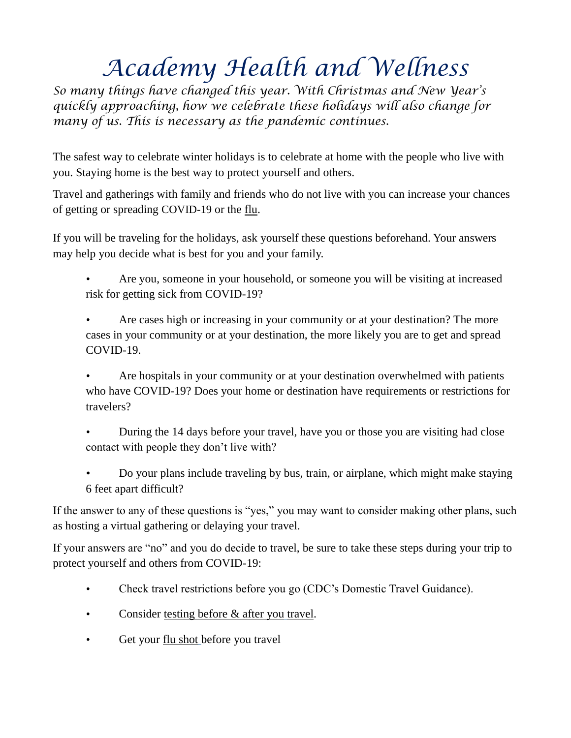## *Academy Health and Wellness*

*So many things have changed this year. With Christmas and New Year's quickly approaching, how we celebrate these holidays will also change for many of us. This is necessary as the pandemic continues.*

The safest way to celebrate winter holidays is to celebrate at home with the people who live with you. Staying home is the best way to protect yourself and others.

Travel and gatherings with family and friends who do not live with you can increase your chances of getting or spreading [COVID-19](https://www.cdc.gov/coronavirus/2019-ncov/index.html) or the [flu.](https://www.cdc.gov/flu/Index.htm)

If you will be traveling for the holidays, ask yourself these questions beforehand. Your answers may help you decide what is best for you and your family.

- Are you, someone in your household, or someone you will be visiting at increased risk for getting sick from COVID-19?
- Are cases high or increasing in your community or at your destination? The more cases in your community or at your destination, the more likely you are to get and spread COVID-19.

• Are hospitals in your community or at your destination overwhelmed with patients who have COVID-19? Does your home or destination have requirements or restrictions for travelers?

- During the 14 days before your travel, have you or those you are visiting had close contact with people they don't live with?
- Do your plans include traveling by bus, train, or airplane, which might make staying 6 feet apart difficult?

If the answer to any of these questions is "yes," you may want to consider making other plans, such as hosting a virtual gathering or delaying your travel.

If your answers are "no" and you do decide to travel, be sure to take these steps during your trip to protect yourself and others from COVID-19:

- Check travel restrictions before you go (CDC's Domestic Travel Guidance).
- Consider [testing before &](https://www.cdc.gov/coronavirus/2019-ncov/travelers/travel-during-covid19.html#consider-testing) [after you](https://www.cdc.gov/coronavirus/2019-ncov/travelers/travel-during-covid19.html#consider-testing) [travel.](https://www.cdc.gov/coronavirus/2019-ncov/travelers/travel-during-covid19.html#consider-testing)
- Get your [flu shot](https://www.cdc.gov/flu/season/protect-your-health.html) before you travel